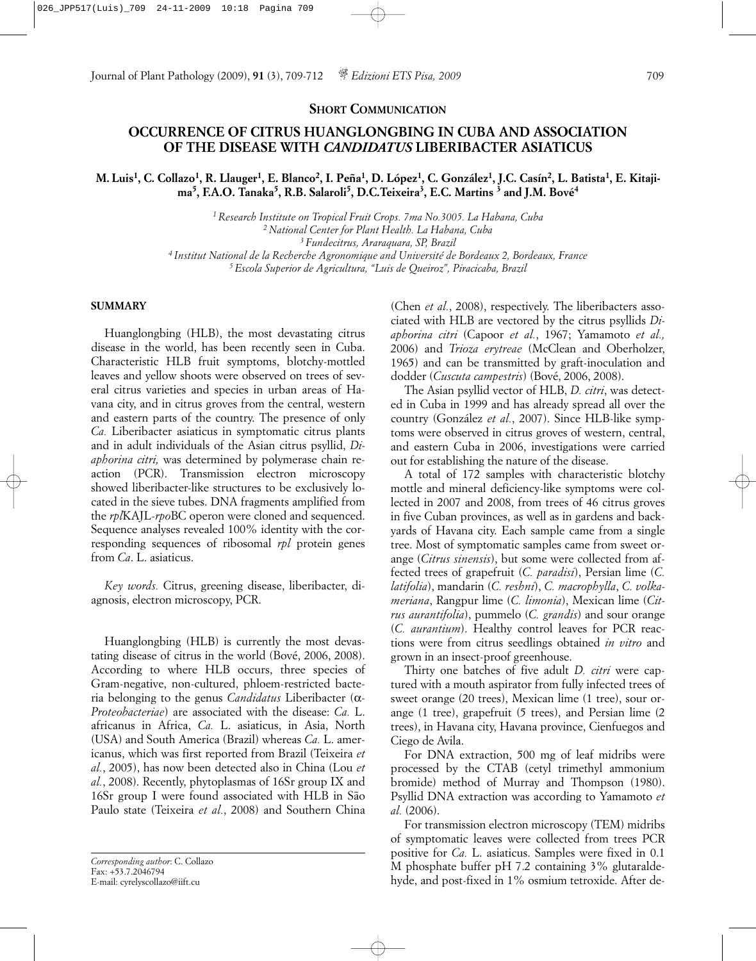**SHORT COMMUNICATION**

## **OCCURRENCE OF CITRUS HUANGLONGBING IN CUBA AND ASSOCIATION OF THE DISEASE WITH** *CANDIDATUS* **LIBERIBACTER ASIATICUS**

## M. Luis<sup>1</sup>, C. Collazo<sup>1</sup>, R. Llauger<sup>1</sup>, E. Blanco<sup>2</sup>, I. Peña<sup>1</sup>, D. López<sup>1</sup>, C. González<sup>1</sup>, I.C. Casín<sup>2</sup>, L. Batista<sup>1</sup>, E. Kitaji**ma5, F.A.O. Tanaka5, R.B. Salaroli5, D.C.Teixeira3, E.C. Martins 3 and J.M. Bové4**

*1 Research Institute on Tropical Fruit Crops. 7ma No.3005. La Habana, Cuba 2 National Center for Plant Health. La Habana, Cuba 3 Fundecitrus, Araraquara, SP, Brazil 4 Institut National de la Recherche Agronomique and Université de Bordeaux 2, Bordeaux, France 5 Escola Superior de Agricultura, "Luis de Queiroz", Piracicaba, Brazil*

## **SUMMARY**

Huanglongbing (HLB), the most devastating citrus disease in the world, has been recently seen in Cuba. Characteristic HLB fruit symptoms, blotchy-mottled leaves and yellow shoots were observed on trees of several citrus varieties and species in urban areas of Havana city, and in citrus groves from the central, western and eastern parts of the country. The presence of only *Ca.* Liberibacter asiaticus in symptomatic citrus plants and in adult individuals of the Asian citrus psyllid, *Diaphorina citri,* was determined by polymerase chain reaction (PCR). Transmission electron microscopy showed liberibacter-like structures to be exclusively located in the sieve tubes. DNA fragments amplified from the *rpl*KAJL-*rpo*BC operon were cloned and sequenced. Sequence analyses revealed 100% identity with the corresponding sequences of ribosomal *rpl* protein genes from *Ca*. L. asiaticus.

*Key words.* Citrus, greening disease, liberibacter, diagnosis, electron microscopy, PCR.

Huanglongbing (HLB) is currently the most devastating disease of citrus in the world (Bové, 2006, 2008). According to where HLB occurs, three species of Gram-negative, non-cultured, phloem-restricted bacteria belonging to the genus *Candidatus* Liberibacter (α-*Proteobacteriae*) are associated with the disease: *Ca.* L. africanus in Africa, *Ca.* L. asiaticus, in Asia, North (USA) and South America (Brazil) whereas *Ca.* L. americanus, which was first reported from Brazil (Teixeira *et al.*, 2005), has now been detected also in China (Lou *et al.*, 2008). Recently, phytoplasmas of 16Sr group IX and 16Sr group I were found associated with HLB in São Paulo state (Teixeira *et al.*, 2008) and Southern China

(Chen *et al.*, 2008), respectively. The liberibacters associated with HLB are vectored by the citrus psyllids *Diaphorina citri* (Capoor *et al.*, 1967; Yamamoto *et al.,* 2006) and *Trioza erytreae* (McClean and Oberholzer, 1965) and can be transmitted by graft-inoculation and dodder (*Cuscuta campestris*) (Bové, 2006, 2008).

The Asian psyllid vector of HLB, *D. citri*, was detected in Cuba in 1999 and has already spread all over the country (González *et al.*, 2007). Since HLB-like symptoms were observed in citrus groves of western, central, and eastern Cuba in 2006, investigations were carried out for establishing the nature of the disease.

A total of 172 samples with characteristic blotchy mottle and mineral deficiency-like symptoms were collected in 2007 and 2008, from trees of 46 citrus groves in five Cuban provinces, as well as in gardens and backyards of Havana city. Each sample came from a single tree. Most of symptomatic samples came from sweet orange (*Citrus sinensis*), but some were collected from affected trees of grapefruit (*C. paradisi*), Persian lime (*C. latifolia*), mandarin (*C. reshni*), *C. macrophylla*, *C. volkameriana*, Rangpur lime (*C. limonia*), Mexican lime (*Citrus aurantifolia*), pummelo (*C. grandis*) and sour orange (*C. aurantium*). Healthy control leaves for PCR reactions were from citrus seedlings obtained *in vitro* and grown in an insect-proof greenhouse.

Thirty one batches of five adult *D. citri* were captured with a mouth aspirator from fully infected trees of sweet orange (20 trees), Mexican lime (1 tree), sour orange (1 tree), grapefruit (5 trees), and Persian lime (2 trees), in Havana city, Havana province, Cienfuegos and Ciego de Avila.

For DNA extraction, 500 mg of leaf midribs were processed by the CTAB (cetyl trimethyl ammonium bromide) method of Murray and Thompson (1980). Psyllid DNA extraction was according to Yamamoto *et al.* (2006).

For transmission electron microscopy (TEM) midribs of symptomatic leaves were collected from trees PCR positive for *Ca.* L. asiaticus. Samples were fixed in 0.1 M phosphate buffer pH 7.2 containing 3% glutaraldehyde, and post-fixed in 1% osmium tetroxide. After de-

*Corresponding author*: C. Collazo Fax: +53.7.2046794 E-mail: cyrelyscollazo@iift.cu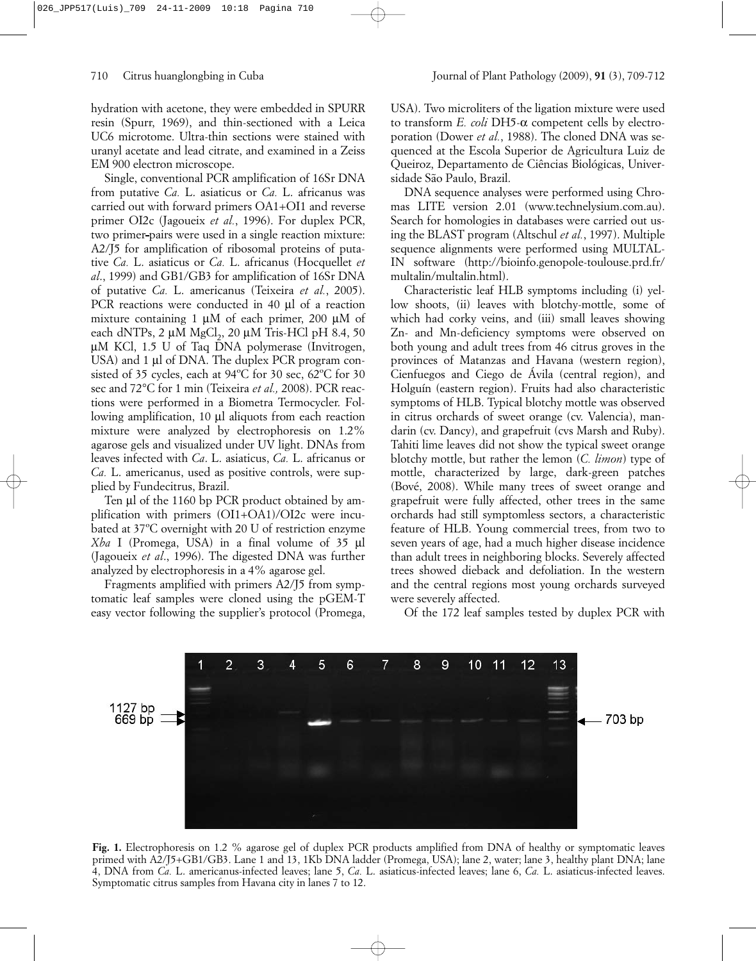hydration with acetone, they were embedded in SPURR resin (Spurr, 1969), and thin-sectioned with a Leica UC6 microtome. Ultra-thin sections were stained with uranyl acetate and lead citrate, and examined in a Zeiss EM 900 electron microscope.

Single, conventional PCR amplification of 16Sr DNA from putative *Ca.* L. asiaticus or *Ca.* L. africanus was carried out with forward primers OA1+OI1 and reverse primer OI2c (Jagoueix *et al.*, 1996). For duplex PCR, two primer pairs were used in a single reaction mixture: A2/J5 for amplification of ribosomal proteins of putative *Ca.* L. asiaticus or *Ca.* L. africanus (Hocquellet *et al*., 1999) and GB1/GB3 for amplification of 16Sr DNA of putative *Ca.* L. americanus (Teixeira *et al.*, 2005). PCR reactions were conducted in 40 µl of a reaction mixture containing 1  $\mu$ M of each primer, 200  $\mu$ M of each dNTPs,  $2 \mu M$  MgCl<sub>2</sub>,  $20 \mu M$  Tris-HCl pH 8.4,  $50$  $\mu$ M KCl, 1.5 U of Taq DNA polymerase (Invitrogen, USA) and 1 µl of DNA. The duplex PCR program consisted of 35 cycles, each at 94ºC for 30 sec, 62ºC for 30 sec and 72°C for 1 min (Teixeira *et al.,* 2008). PCR reactions were performed in a Biometra Termocycler. Following amplification, 10 µl aliquots from each reaction mixture were analyzed by electrophoresis on 1.2% agarose gels and visualized under UV light. DNAs from leaves infected with *Ca*. L. asiaticus, *Ca.* L. africanus or *Ca.* L. americanus, used as positive controls, were supplied by Fundecitrus, Brazil.

Ten µl of the 1160 bp PCR product obtained by amplification with primers (OI1+OA1)/OI2c were incubated at 37ºC overnight with 20 U of restriction enzyme *Xba* I (Promega, USA) in a final volume of 35 µl (Jagoueix *et al*., 1996). The digested DNA was further analyzed by electrophoresis in a 4% agarose gel.

Fragments amplified with primers A2/J5 from symptomatic leaf samples were cloned using the pGEM-T easy vector following the supplier's protocol (Promega, to transform *E. coli* DH5-α competent cells by electroporation (Dower *et al.*, 1988). The cloned DNA was sequenced at the Escola Superior de Agricultura Luiz de Queiroz, Departamento de Ciências Biológicas, Universidade São Paulo, Brazil.

DNA sequence analyses were performed using Chromas LITE version 2.01 (www.technelysium.com.au). Search for homologies in databases were carried out using the BLAST program (Altschul *et al.*, 1997). Multiple sequence alignments were performed using MULTAL-IN software (http://bioinfo.genopole-toulouse.prd.fr/ multalin/multalin.html).

Characteristic leaf HLB symptoms including (i) yellow shoots, (ii) leaves with blotchy-mottle, some of which had corky veins, and (iii) small leaves showing Zn- and Mn-deficiency symptoms were observed on both young and adult trees from 46 citrus groves in the provinces of Matanzas and Havana (western region), Cienfuegos and Ciego de Ávila (central region), and Holguín (eastern region). Fruits had also characteristic symptoms of HLB. Typical blotchy mottle was observed in citrus orchards of sweet orange (cv. Valencia), mandarin (cv. Dancy), and grapefruit (cvs Marsh and Ruby). Tahiti lime leaves did not show the typical sweet orange blotchy mottle, but rather the lemon (*C. limon*) type of mottle, characterized by large, dark-green patches (Bové, 2008). While many trees of sweet orange and grapefruit were fully affected, other trees in the same orchards had still symptomless sectors, a characteristic feature of HLB. Young commercial trees, from two to seven years of age, had a much higher disease incidence than adult trees in neighboring blocks. Severely affected trees showed dieback and defoliation. In the western and the central regions most young orchards surveyed were severely affected.

Of the 172 leaf samples tested by duplex PCR with



**Fig. 1.** Electrophoresis on 1.2 % agarose gel of duplex PCR products amplified from DNA of healthy or symptomatic leaves primed with A2/J5+GB1/GB3. Lane 1 and 13, 1Kb DNA ladder (Promega, USA); lane 2, water; lane 3, healthy plant DNA; lane 4, DNA from *Ca.* L. americanus-infected leaves; lane 5, *Ca.* L. asiaticus-infected leaves; lane 6, *Ca.* L. asiaticus-infected leaves. Symptomatic citrus samples from Havana city in lanes 7 to 12.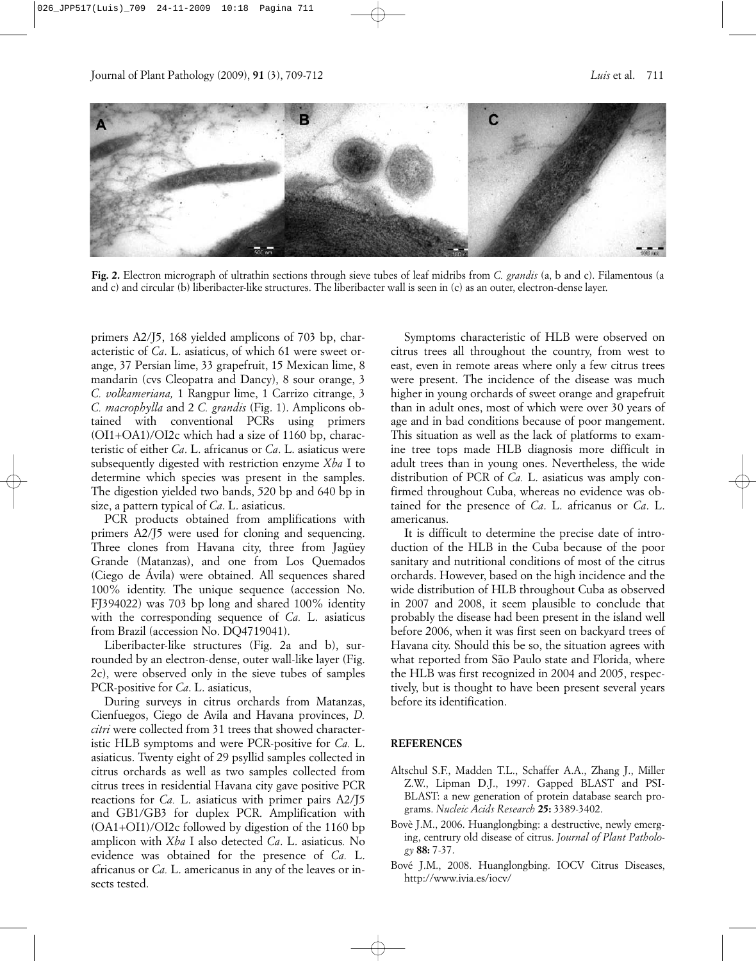

**Fig. 2.** Electron micrograph of ultrathin sections through sieve tubes of leaf midribs from *C. grandis* (a, b and c). Filamentous (a and c) and circular (b) liberibacter-like structures. The liberibacter wall is seen in (c) as an outer, electron-dense layer.

primers A2/J5, 168 yielded amplicons of 703 bp, characteristic of *Ca*. L. asiaticus, of which 61 were sweet orange, 37 Persian lime, 33 grapefruit, 15 Mexican lime, 8 mandarin (cvs Cleopatra and Dancy), 8 sour orange, 3 *C. volkameriana,* 1 Rangpur lime, 1 Carrizo citrange, 3 *C. macrophylla* and 2 *C. grandis* (Fig. 1). Amplicons obtained with conventional PCRs using primers (OI1+OA1)/OI2c which had a size of 1160 bp, characteristic of either *Ca*. L. africanus or *Ca*. L. asiaticus were subsequently digested with restriction enzyme *Xba* I to determine which species was present in the samples. The digestion yielded two bands, 520 bp and 640 bp in size, a pattern typical of *Ca*. L. asiaticus.

PCR products obtained from amplifications with primers A2/J5 were used for cloning and sequencing. Three clones from Havana city, three from Jagüey Grande (Matanzas), and one from Los Quemados (Ciego de Ávila) were obtained. All sequences shared 100% identity. The unique sequence (accession No. FJ394022) was 703 bp long and shared 100% identity with the corresponding sequence of *Ca.* L. asiaticus from Brazil (accession No. DQ4719041).

Liberibacter-like structures (Fig. 2a and b), surrounded by an electron-dense, outer wall-like layer (Fig. 2c), were observed only in the sieve tubes of samples PCR-positive for *Ca*. L. asiaticus,

During surveys in citrus orchards from Matanzas, Cienfuegos, Ciego de Avila and Havana provinces, *D. citri* were collected from 31 trees that showed characteristic HLB symptoms and were PCR-positive for *Ca.* L. asiaticus. Twenty eight of 29 psyllid samples collected in citrus orchards as well as two samples collected from citrus trees in residential Havana city gave positive PCR reactions for *Ca.* L. asiaticus with primer pairs A2/J5 and GB1/GB3 for duplex PCR. Amplification with (OA1+OI1)/OI2c followed by digestion of the 1160 bp amplicon with *Xba* I also detected *Ca*. L. asiaticus*.* No evidence was obtained for the presence of *Ca.* L. africanus or *Ca.* L. americanus in any of the leaves or insects tested.

Symptoms characteristic of HLB were observed on citrus trees all throughout the country, from west to east, even in remote areas where only a few citrus trees were present. The incidence of the disease was much higher in young orchards of sweet orange and grapefruit than in adult ones, most of which were over 30 years of age and in bad conditions because of poor mangement. This situation as well as the lack of platforms to examine tree tops made HLB diagnosis more difficult in adult trees than in young ones. Nevertheless, the wide distribution of PCR of *Ca.* L. asiaticus was amply confirmed throughout Cuba, whereas no evidence was obtained for the presence of *Ca*. L. africanus or *Ca*. L. americanus.

It is difficult to determine the precise date of introduction of the HLB in the Cuba because of the poor sanitary and nutritional conditions of most of the citrus orchards. However, based on the high incidence and the wide distribution of HLB throughout Cuba as observed in 2007 and 2008, it seem plausible to conclude that probably the disease had been present in the island well before 2006, when it was first seen on backyard trees of Havana city. Should this be so, the situation agrees with what reported from São Paulo state and Florida, where the HLB was first recognized in 2004 and 2005, respectively, but is thought to have been present several years before its identification.

## **REFERENCES**

- Altschul S.F., Madden T.L., Schaffer A.A., Zhang J., Miller Z.W., Lipman D.J., 1997. Gapped BLAST and PSI-BLAST: a new generation of protein database search programs. *Nucleic Acids Research* **25:** 3389-3402.
- Bovè J.M., 2006. Huanglongbing: a destructive, newly emerging, centrury old disease of citrus. *Journal of Plant Pathology* **88:** 7-37.
- Bové J.M., 2008. Huanglongbing. IOCV Citrus Diseases, http://www.ivia.es/iocv/